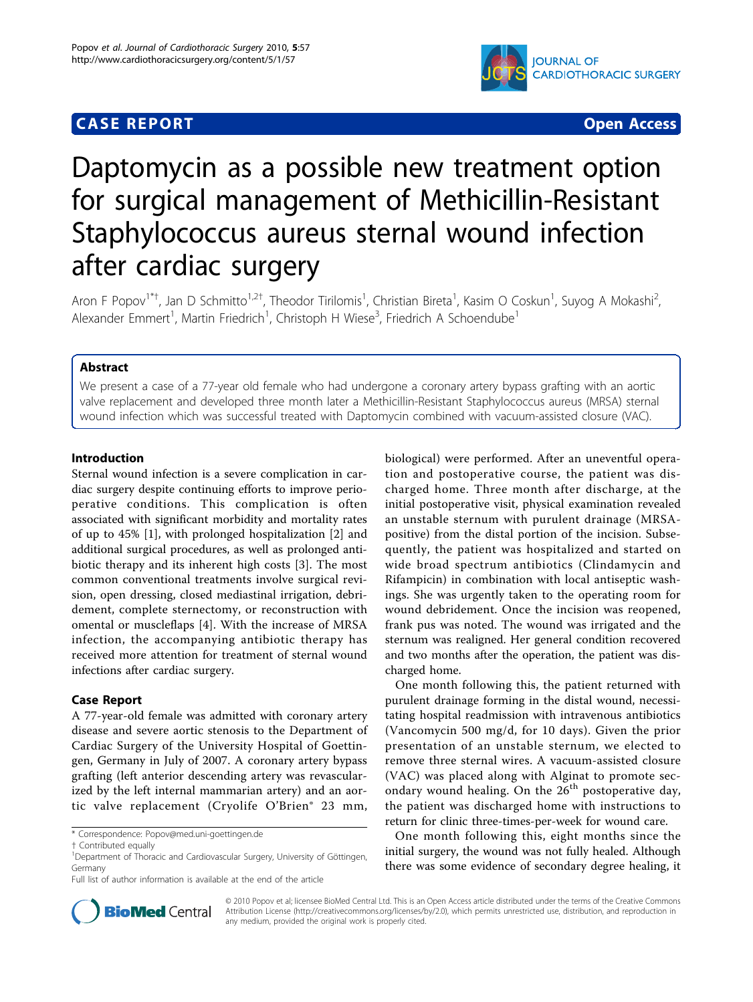# **CASE REPORT CASE REPORT**



# Daptomycin as a possible new treatment option for surgical management of Methicillin-Resistant Staphylococcus aureus sternal wound infection after cardiac surgery

Aron F Popov<sup>1\*†</sup>, Jan D Schmitto<sup>1,2†</sup>, Theodor Tirilomis<sup>1</sup>, Christian Bireta<sup>1</sup>, Kasim O Coskun<sup>1</sup>, Suyog A Mokashi<sup>2</sup> .<br>, Alexander Emmert<sup>1</sup>, Martin Friedrich<sup>1</sup>, Christoph H Wiese<sup>3</sup>, Friedrich A Schoendube<sup>1</sup>

# Abstract

We present a case of a 77-year old female who had undergone a coronary artery bypass grafting with an aortic valve replacement and developed three month later a Methicillin-Resistant Staphylococcus aureus (MRSA) sternal wound infection which was successful treated with Daptomycin combined with vacuum-assisted closure (VAC).

## Introduction

Sternal wound infection is a severe complication in cardiac surgery despite continuing efforts to improve perioperative conditions. This complication is often associated with significant morbidity and mortality rates of up to 45% [[1\]](#page-2-0), with prolonged hospitalization [[2\]](#page-2-0) and additional surgical procedures, as well as prolonged antibiotic therapy and its inherent high costs [[3\]](#page-2-0). The most common conventional treatments involve surgical revision, open dressing, closed mediastinal irrigation, debridement, complete sternectomy, or reconstruction with omental or muscleflaps [\[4](#page-2-0)]. With the increase of MRSA infection, the accompanying antibiotic therapy has received more attention for treatment of sternal wound infections after cardiac surgery.

## Case Report

A 77-year-old female was admitted with coronary artery disease and severe aortic stenosis to the Department of Cardiac Surgery of the University Hospital of Goettingen, Germany in July of 2007. A coronary artery bypass grafting (left anterior descending artery was revascularized by the left internal mammarian artery) and an aortic valve replacement (Cryolife O'Brien® 23 mm,

\* Correspondence: [Popov@med.uni-goettingen.de](mailto:Popov@med.uni-goettingen.de)

biological) were performed. After an uneventful operation and postoperative course, the patient was discharged home. Three month after discharge, at the initial postoperative visit, physical examination revealed an unstable sternum with purulent drainage (MRSApositive) from the distal portion of the incision. Subsequently, the patient was hospitalized and started on wide broad spectrum antibiotics (Clindamycin and Rifampicin) in combination with local antiseptic washings. She was urgently taken to the operating room for wound debridement. Once the incision was reopened, frank pus was noted. The wound was irrigated and the sternum was realigned. Her general condition recovered and two months after the operation, the patient was discharged home.

One month following this, the patient returned with purulent drainage forming in the distal wound, necessitating hospital readmission with intravenous antibiotics (Vancomycin 500 mg/d, for 10 days). Given the prior presentation of an unstable sternum, we elected to remove three sternal wires. A vacuum-assisted closure (VAC) was placed along with Alginat to promote secondary wound healing. On the  $26<sup>th</sup>$  postoperative day, the patient was discharged home with instructions to return for clinic three-times-per-week for wound care.

One month following this, eight months since the initial surgery, the wound was not fully healed. Although there was some evidence of secondary degree healing, it



© 2010 Popov et al; licensee BioMed Central Ltd. This is an Open Access article distributed under the terms of the Creative Commons Attribution License [\(http://creativecommons.org/licenses/by/2.0](http://creativecommons.org/licenses/by/2.0)), which permits unrestricted use, distribution, and reproduction in any medium, provided the original work is properly cited.

<sup>†</sup> Contributed equally <sup>1</sup>

<sup>&</sup>lt;sup>1</sup>Department of Thoracic and Cardiovascular Surgery, University of Göttingen, Germany

Full list of author information is available at the end of the article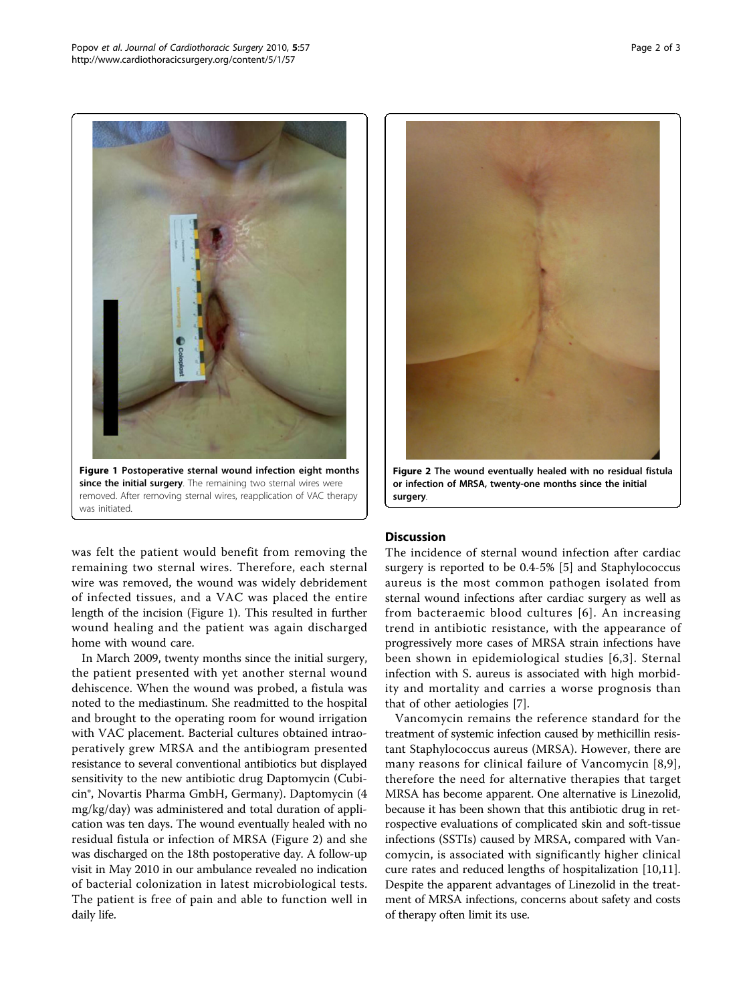

was felt the patient would benefit from removing the remaining two sternal wires. Therefore, each sternal wire was removed, the wound was widely debridement of infected tissues, and a VAC was placed the entire length of the incision (Figure 1). This resulted in further wound healing and the patient was again discharged home with wound care.

In March 2009, twenty months since the initial surgery, the patient presented with yet another sternal wound dehiscence. When the wound was probed, a fistula was noted to the mediastinum. She readmitted to the hospital and brought to the operating room for wound irrigation with VAC placement. Bacterial cultures obtained intraoperatively grew MRSA and the antibiogram presented resistance to several conventional antibiotics but displayed sensitivity to the new antibiotic drug Daptomycin (Cubicin®, Novartis Pharma GmbH, Germany). Daptomycin (4 mg/kg/day) was administered and total duration of application was ten days. The wound eventually healed with no residual fistula or infection of MRSA (Figure 2) and she was discharged on the 18th postoperative day. A follow-up visit in May 2010 in our ambulance revealed no indication of bacterial colonization in latest microbiological tests. The patient is free of pain and able to function well in daily life.



Figure 2 The wound eventually healed with no residual fistula or infection of MRSA, twenty-one months since the initial surgery.

# **Discussion**

The incidence of sternal wound infection after cardiac surgery is reported to be 0.4-5% [\[5](#page-2-0)] and Staphylococcus aureus is the most common pathogen isolated from sternal wound infections after cardiac surgery as well as from bacteraemic blood cultures [[6](#page-2-0)]. An increasing trend in antibiotic resistance, with the appearance of progressively more cases of MRSA strain infections have been shown in epidemiological studies [[6](#page-2-0),[3\]](#page-2-0). Sternal infection with S. aureus is associated with high morbidity and mortality and carries a worse prognosis than that of other aetiologies [[7\]](#page-2-0).

Vancomycin remains the reference standard for the treatment of systemic infection caused by methicillin resistant Staphylococcus aureus (MRSA). However, there are many reasons for clinical failure of Vancomycin [[8](#page-2-0),[9\]](#page-2-0), therefore the need for alternative therapies that target MRSA has become apparent. One alternative is Linezolid, because it has been shown that this antibiotic drug in retrospective evaluations of complicated skin and soft-tissue infections (SSTIs) caused by MRSA, compared with Vancomycin, is associated with significantly higher clinical cure rates and reduced lengths of hospitalization [\[10,11](#page-2-0)]. Despite the apparent advantages of Linezolid in the treatment of MRSA infections, concerns about safety and costs of therapy often limit its use.